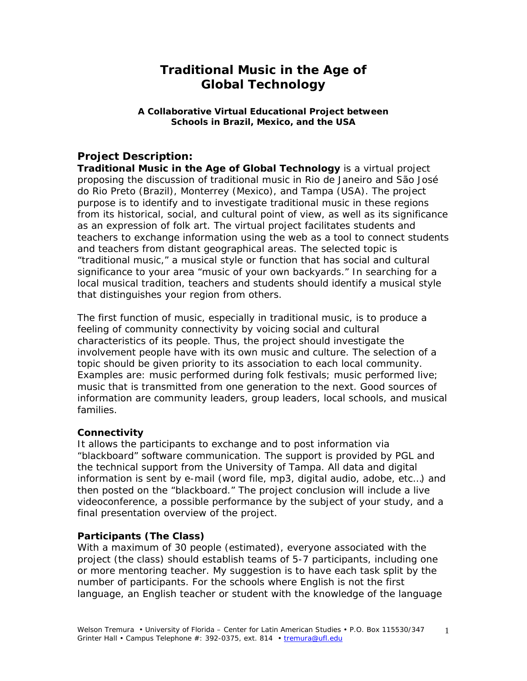# **Traditional Music in the Age of Global Technology**

#### **A Collaborative Virtual Educational Project between Schools in Brazil, Mexico, and the USA**

## **Project Description:**

*Traditional Music in the Age of Global Technology* is a virtual project proposing the discussion of traditional music in Rio de Janeiro and São José do Rio Preto (Brazil), Monterrey (Mexico), and Tampa (USA). The project purpose is to identify and to investigate traditional music in these regions from its historical, social, and cultural point of view, as well as its significance as an expression of folk art. The virtual project facilitates students and teachers to exchange information using the web as a tool to connect students and teachers from distant geographical areas. The selected topic is "traditional music," a musical style or function that has social and cultural significance to your area "music of your own backyards." In searching for a local musical tradition, teachers and students should identify a musical style that distinguishes your region from others.

The first function of music, especially in traditional music, is to produce a feeling of community connectivity by voicing social and cultural characteristics of its people. Thus, the project should investigate the involvement people have with its own music and culture. The selection of a topic should be given priority to its association to each local community. Examples are: music performed during folk festivals; music performed live; music that is transmitted from one generation to the next. Good sources of information are community leaders, group leaders, local schools, and musical families.

#### **Connectivity**

It allows the participants to exchange and to post information via "blackboard" software communication. The support is provided by PGL and the technical support from the University of Tampa. All data and digital information is sent by e-mail (word file, mp3, digital audio, adobe, etc…) and then posted on the "blackboard." The project conclusion will include a live videoconference, a possible performance by the subject of your study, and a final presentation overview of the project.

#### **Participants (The Class)**

With a maximum of 30 people (estimated), everyone associated with the project (the class) should establish teams of 5-7 participants, including one or more mentoring teacher. My suggestion is to have each task split by the number of participants. For the schools where English is not the first language, an English teacher or student with the knowledge of the language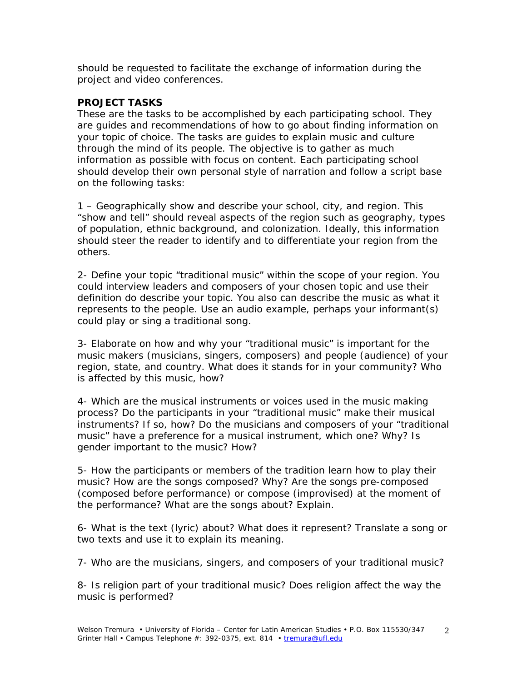should be requested to facilitate the exchange of information during the project and video conferences.

#### **PROJECT TASKS**

These are the tasks to be accomplished by each participating school. They are guides and recommendations of how to go about finding information on your topic of choice. The tasks are guides to explain music and culture through the mind of its people. The objective is to gather as much information as possible with focus on content. Each participating school should develop their own personal style of narration and follow a script base on the following tasks:

1 – Geographically show and describe your school, city, and region. This "show and tell" should reveal aspects of the region such as geography, types of population, ethnic background, and colonization. Ideally, this information should steer the reader to identify and to differentiate your region from the others.

2- Define your topic "traditional music" within the scope of your region. You could interview leaders and composers of your chosen topic and use their definition do describe your topic. You also can describe the music as what it represents to the people. Use an audio example, perhaps your informant(s) could play or sing a traditional song.

3- Elaborate on how and why your "traditional music" is important for the music makers (musicians, singers, composers) and people (audience) of your region, state, and country. What does it stands for in your community? Who is affected by this music, how?

4- Which are the musical instruments or voices used in the music making process? Do the participants in your "traditional music" make their musical instruments? If so, how? Do the musicians and composers of your "traditional music" have a preference for a musical instrument, which one? Why? Is gender important to the music? How?

5- How the participants or members of the tradition learn how to play their music? How are the songs composed? Why? Are the songs pre-composed (composed before performance) or compose (improvised) at the moment of the performance? What are the songs about? Explain.

6- What is the text (lyric) about? What does it represent? Translate a song or two texts and use it to explain its meaning.

7- Who are the musicians, singers, and composers of your traditional music?

8- Is religion part of your traditional music? Does religion affect the way the music is performed?